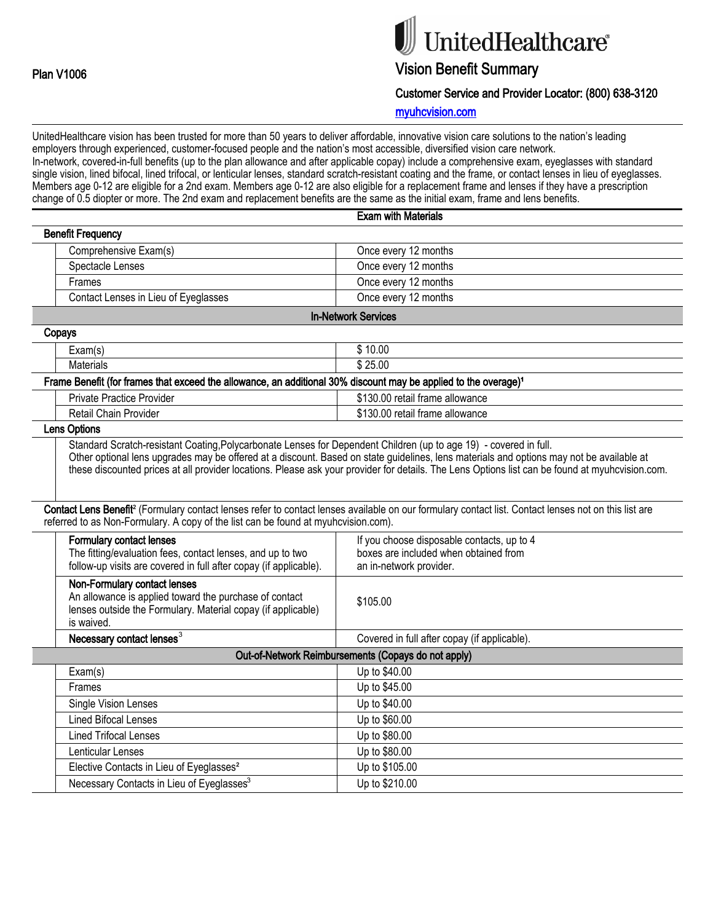# UnitedHealthcare®

## Vision Benefit Summary

Customer Service and Provider Locator: (800) 638-3120

myuhcvision.com

UnitedHealthcare vision has been trusted for more than 50 years to deliver affordable, innovative vision care solutions to the nation's leading employers through experienced, customer-focused people and the nation's most accessible, diversified vision care network. In-network, covered-in-full benefits (up to the plan allowance and after applicable copay) include a comprehensive exam, eyeglasses with standard single vision, lined bifocal, lined trifocal, or lenticular lenses, standard scratch-resistant coating and the frame, or contact lenses in lieu of eyeglasses. Members age 0-12 are eligible for a 2nd exam. Members age 0-12 are also eligible for a replacement frame and lenses if they have a prescription change of 0.5 diopter or more. The 2nd exam and replacement benefits are the same as the initial exam, frame and lens benefits. Exam with Materials

|                                                                                                                                                                      | Exam with Materials                                                                                                                                              |
|----------------------------------------------------------------------------------------------------------------------------------------------------------------------|------------------------------------------------------------------------------------------------------------------------------------------------------------------|
| <b>Benefit Frequency</b>                                                                                                                                             |                                                                                                                                                                  |
| Comprehensive Exam(s)                                                                                                                                                | Once every 12 months                                                                                                                                             |
| Spectacle Lenses                                                                                                                                                     | Once every 12 months                                                                                                                                             |
| Frames                                                                                                                                                               | Once every 12 months                                                                                                                                             |
| Contact Lenses in Lieu of Eyeglasses                                                                                                                                 | Once every 12 months                                                                                                                                             |
|                                                                                                                                                                      | <b>In-Network Services</b>                                                                                                                                       |
| Copays                                                                                                                                                               |                                                                                                                                                                  |
| Exam(s)                                                                                                                                                              | $\sqrt{$}10.00$                                                                                                                                                  |
| <b>Materials</b>                                                                                                                                                     | \$25.00                                                                                                                                                          |
| Frame Benefit (for frames that exceed the allowance, an additional 30% discount may be applied to the overage) <sup>1</sup>                                          |                                                                                                                                                                  |
| <b>Private Practice Provider</b>                                                                                                                                     | \$130.00 retail frame allowance                                                                                                                                  |
| Retail Chain Provider                                                                                                                                                | \$130.00 retail frame allowance                                                                                                                                  |
| <b>Lens Options</b>                                                                                                                                                  |                                                                                                                                                                  |
|                                                                                                                                                                      | Contact Lens Benefit <sup>2</sup> (Formulary contact lenses refer to contact lenses available on our formulary contact list. Contact lenses not on this list are |
| referred to as Non-Formulary. A copy of the list can be found at myuhovision.com).                                                                                   |                                                                                                                                                                  |
| <b>Formulary contact lenses</b><br>The fitting/evaluation fees, contact lenses, and up to two<br>follow-up visits are covered in full after copay (if applicable).   | If you choose disposable contacts, up to 4<br>boxes are included when obtained from<br>an in-network provider.                                                   |
| Non-Formulary contact lenses<br>An allowance is applied toward the purchase of contact<br>lenses outside the Formulary. Material copay (if applicable)<br>is waived. | \$105.00                                                                                                                                                         |
| Necessary contact lenses <sup>3</sup>                                                                                                                                | Covered in full after copay (if applicable).                                                                                                                     |
|                                                                                                                                                                      | Out-of-Network Reimbursements (Copays do not apply)                                                                                                              |
| Exam(s)                                                                                                                                                              | Up to \$40.00                                                                                                                                                    |
| Frames                                                                                                                                                               | Up to \$45.00                                                                                                                                                    |
| Single Vision Lenses                                                                                                                                                 | Up to \$40.00                                                                                                                                                    |
| <b>Lined Bifocal Lenses</b>                                                                                                                                          | Up to \$60.00                                                                                                                                                    |
| <b>Lined Trifocal Lenses</b>                                                                                                                                         | Up to \$80.00                                                                                                                                                    |
| Lenticular Lenses                                                                                                                                                    | Up to \$80.00                                                                                                                                                    |
| Elective Contacts in Lieu of Eyeglasses <sup>2</sup>                                                                                                                 | Up to \$105.00                                                                                                                                                   |
|                                                                                                                                                                      |                                                                                                                                                                  |
| Necessary Contacts in Lieu of Eyeglasses <sup>3</sup>                                                                                                                | Up to \$210.00                                                                                                                                                   |